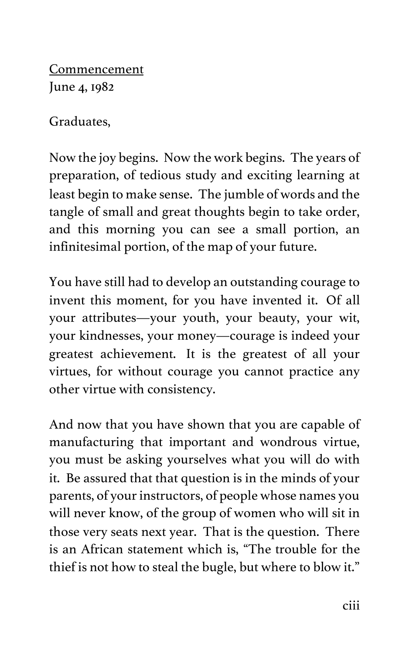Commencement June 4, 1982

Graduates,

Now the joy begins. Now the work begins. The years of preparation, of tedious study and exciting learning at least begin to make sense. The jumble of words and the tangle of small and great thoughts begin to take order, and this morning you can see a small portion, an infinitesimal portion, of the map of your future.

You have still had to develop an outstanding courage to invent this moment, for you have invented it. Of all your attributes—your youth, your beauty, your wit, your kindnesses, your money—courage is indeed your greatest achievement. It is the greatest of all your virtues, for without courage you cannot practice any other virtue with consistency.

And now that you have shown that you are capable of manufacturing that important and wondrous virtue, you must be asking yourselves what you will do with it. Be assured that that question is in the minds of your parents, of your instructors, of people whose names you will never know, of the group of women who will sit in those very seats next year. That is the question. There is an African statement which is, "The trouble for the thief is not how to steal the bugle, but where to blow it."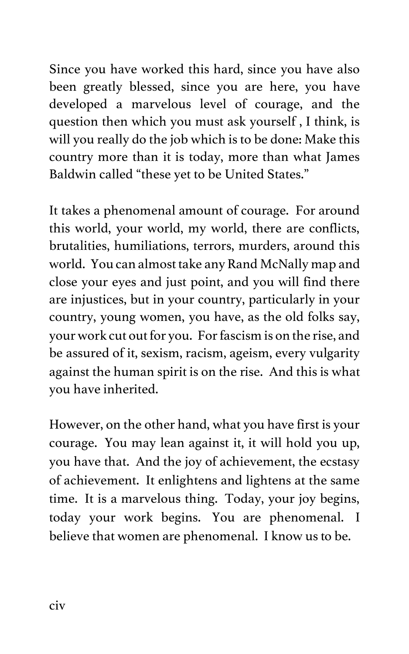Since you have worked this hard, since you have also been greatly blessed, since you are here, you have developed a marvelous level of courage, and the question then which you must ask yourself , I think, is will you really do the job which is to be done: Make this country more than it is today, more than what James Baldwin called "these yet to be United States."

It takes a phenomenal amount of courage. For around this world, your world, my world, there are conflicts, brutalities, humiliations, terrors, murders, around this world. You can almost take any Rand McNally map and close your eyes and just point, and you will find there are injustices, but in your country, particularly in your country, young women, you have, as the old folks say, your work cut out for you. For fascism is on the rise, and be assured of it, sexism, racism, ageism, every vulgarity against the human spirit is on the rise. And this is what you have inherited.

However, on the other hand, what you have first is your courage. You may lean against it, it will hold you up, you have that. And the joy of achievement, the ecstasy of achievement. It enlightens and lightens at the same time. It is a marvelous thing. Today, your joy begins, today your work begins. You are phenomenal. I believe that women are phenomenal. I know us to be.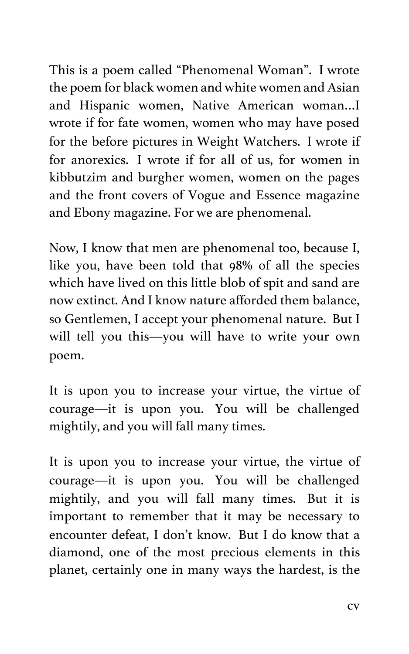This is a poem called "Phenomenal Woman". I wrote the poem for black women and white women and Asian and Hispanic women, Native American woman…I wrote if for fate women, women who may have posed for the before pictures in Weight Watchers. I wrote if for anorexics. I wrote if for all of us, for women in kibbutzim and burgher women, women on the pages and the front covers of Vogue and Essence magazine and Ebony magazine. For we are phenomenal.

Now, I know that men are phenomenal too, because I, like you, have been told that 98% of all the species which have lived on this little blob of spit and sand are now extinct. And I know nature afforded them balance, so Gentlemen, I accept your phenomenal nature. But I will tell you this—you will have to write your own poem.

It is upon you to increase your virtue, the virtue of courage—it is upon you. You will be challenged mightily, and you will fall many times.

It is upon you to increase your virtue, the virtue of courage—it is upon you. You will be challenged mightily, and you will fall many times. But it is important to remember that it may be necessary to encounter defeat, I don't know. But I do know that a diamond, one of the most precious elements in this planet, certainly one in many ways the hardest, is the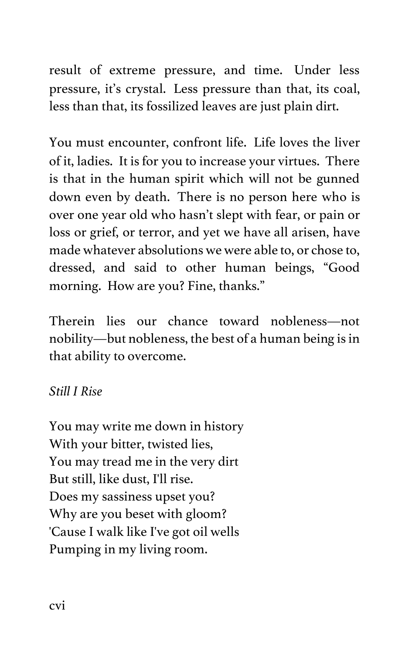result of extreme pressure, and time. Under less pressure, it's crystal. Less pressure than that, its coal, less than that, its fossilized leaves are just plain dirt.

You must encounter, confront life. Life loves the liver of it, ladies. It is for you to increase your virtues. There is that in the human spirit which will not be gunned down even by death. There is no person here who is over one year old who hasn't slept with fear, or pain or loss or grief, or terror, and yet we have all arisen, have made whatever absolutions we were able to, or chose to, dressed, and said to other human beings, "Good morning. How are you? Fine, thanks."

Therein lies our chance toward nobleness—not nobility—but nobleness, the best of a human being is in that ability to overcome.

## *Still I Rise*

You may write me down in history With your bitter, twisted lies, You may tread me in the very dirt But still, like dust, I'll rise. Does my sassiness upset you? Why are you beset with gloom? 'Cause I walk like I've got oil wells Pumping in my living room.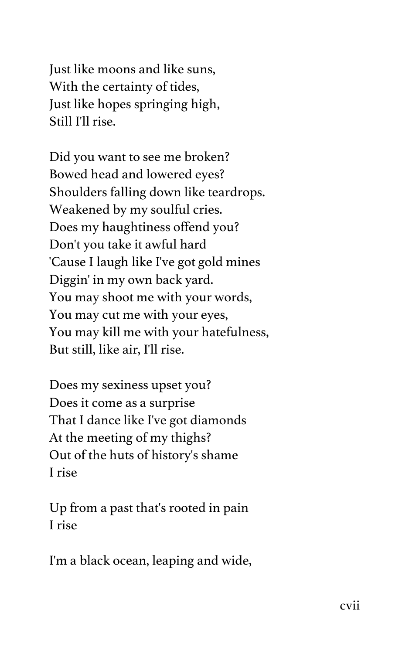Just like moons and like suns, With the certainty of tides, Just like hopes springing high, Still I'll rise.

Did you want to see me broken? Bowed head and lowered eyes? Shoulders falling down like teardrops. Weakened by my soulful cries. Does my haughtiness offend you? Don't you take it awful hard 'Cause I laugh like I've got gold mines Diggin' in my own back yard. You may shoot me with your words, You may cut me with your eyes, You may kill me with your hatefulness, But still, like air, I'll rise.

Does my sexiness upset you? Does it come as a surprise That I dance like I've got diamonds At the meeting of my thighs? Out of the huts of history's shame I rise

Up from a past that's rooted in pain I rise

I'm a black ocean, leaping and wide,